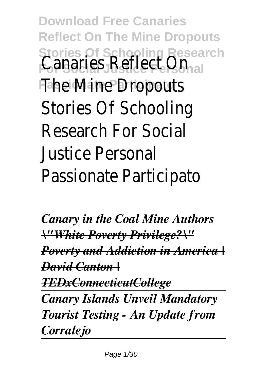**Download Free Canaries Reflect On The Mine Dropouts Stories Of Schooling Research** Canaries Reflect On **Passionate Participato** The Mine Dropouts Stories Of Schooling Research For Social Justice Personal Passionate Participato

*Canary in the Coal Mine Authors \"White Poverty Privilege?\" Poverty and Addiction in America | David Canton | TEDxConnecticutCollege Canary Islands Unveil Mandatory Tourist Testing - An Update from Corralejo*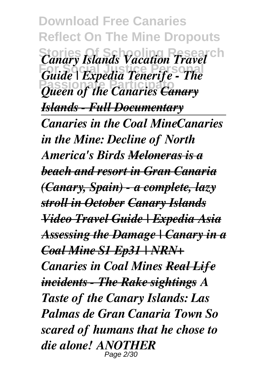**Download Free Canaries Reflect On The Mine Dropouts Stories Of Schooling Research** *Canary Islands Vacation Travel* **For Social Justice Personal** *Guide | Expedia Tenerife - The* **Passionate Participato** *Queen of the Canaries Canary Islands - Full Documentary Canaries in the Coal MineCanaries in the Mine: Decline of North America's Birds Meloneras is a beach and resort in Gran Canaria (Canary, Spain) - a complete, lazy stroll in October Canary Islands Video Travel Guide | Expedia Asia Assessing the Damage | Canary in a Coal Mine S1 Ep31 | NRN+ Canaries in Coal Mines Real Life incidents - The Rake sightings A Taste of the Canary Islands: Las Palmas de Gran Canaria Town So scared of humans that he chose to die alone! ANOTHER* Page 2/30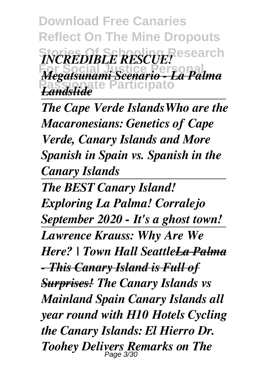**Download Free Canaries Reflect On The Mine Dropouts**  $INCREDIBLE$  *RESCUE!* **For Social Justice Personal** *Megatsunami Scenario - La Palma* **Passionate Participato** *Landslide*

*The Cape Verde IslandsWho are the Macaronesians: Genetics of Cape Verde, Canary Islands and More Spanish in Spain vs. Spanish in the Canary Islands*

*The BEST Canary Island! Exploring La Palma! Corralejo September 2020 - It's a ghost town! Lawrence Krauss: Why Are We Here? | Town Hall SeattleLa Palma - This Canary Island is Full of Surprises! The Canary Islands vs Mainland Spain Canary Islands all year round with H10 Hotels Cycling the Canary Islands: El Hierro Dr. Toohey Delivers Remarks on The* Page 3/30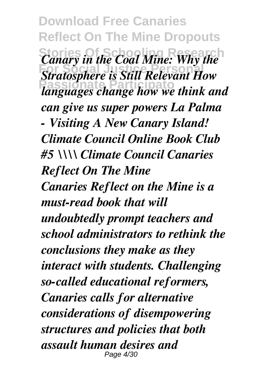**Download Free Canaries Reflect On The Mine Dropouts Stories Of Schooling Research** *Canary in the Coal Mine: Why the Stratosphere is Still Relevant How* **Passionate Participato** *languages change how we think and can give us super powers La Palma - Visiting A New Canary Island! Climate Council Online Book Club #5 \\\\ Climate Council Canaries Reflect On The Mine Canaries Reflect on the Mine is a must-read book that will undoubtedly prompt teachers and school administrators to rethink the conclusions they make as they interact with students. Challenging so-called educational reformers, Canaries calls for alternative considerations of disempowering structures and policies that both assault human desires and* Page 4/30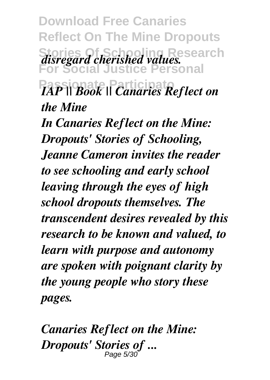**Download Free Canaries Reflect On The Mine Dropouts Stories Of Schooling Research** *disregard cherished values.* **For Social Justice Personal Passionate Participato** *IAP || Book || Canaries Reflect on the Mine*

*In Canaries Reflect on the Mine: Dropouts' Stories of Schooling, Jeanne Cameron invites the reader to see schooling and early school leaving through the eyes of high school dropouts themselves. The transcendent desires revealed by this research to be known and valued, to learn with purpose and autonomy are spoken with poignant clarity by the young people who story these pages.*

*Canaries Reflect on the Mine: Dropouts' Stories of ...* Page 5/30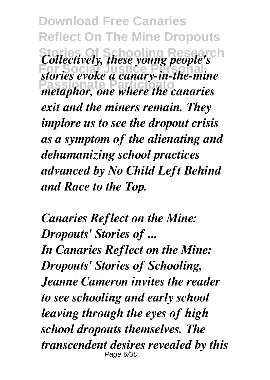**Download Free Canaries Reflect On The Mine Dropouts Stories Of Schooling Research** *Collectively, these young people's EXECUTE: FOR SOCIETING*,  $\frac{1}{2}$  and  $\frac{1}{2}$  canary-in-the-mine **Passionate Participato** *metaphor, one where the canaries exit and the miners remain. They implore us to see the dropout crisis as a symptom of the alienating and dehumanizing school practices advanced by No Child Left Behind and Race to the Top.*

*Canaries Reflect on the Mine: Dropouts' Stories of ... In Canaries Reflect on the Mine: Dropouts' Stories of Schooling, Jeanne Cameron invites the reader to see schooling and early school leaving through the eyes of high school dropouts themselves. The transcendent desires revealed by this* Page 6/30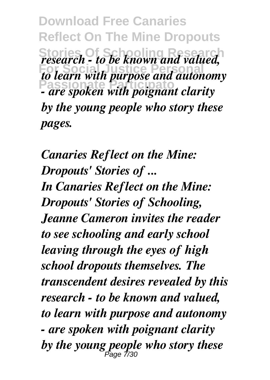**Download Free Canaries Reflect On The Mine Dropouts Stories Of Schooling Research** *research - to be known and valued, Form Social Collection income and autonomy* **Passionate Participato** *- are spoken with poignant clarity by the young people who story these pages.*

*Canaries Reflect on the Mine: Dropouts' Stories of ... In Canaries Reflect on the Mine: Dropouts' Stories of Schooling, Jeanne Cameron invites the reader to see schooling and early school leaving through the eyes of high school dropouts themselves. The transcendent desires revealed by this research - to be known and valued, to learn with purpose and autonomy - are spoken with poignant clarity by the young people who story these* Page 7/30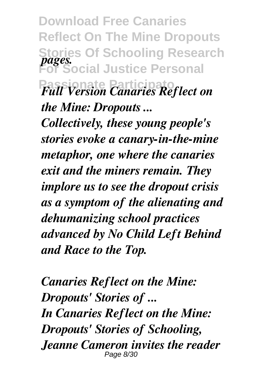**Download Free Canaries Reflect On The Mine Dropouts Stories Of Schooling Research For Social Justice Personal Passionate Participato** *Full Version Canaries Reflect on pages. the Mine: Dropouts ...*

*Collectively, these young people's stories evoke a canary-in-the-mine metaphor, one where the canaries exit and the miners remain. They implore us to see the dropout crisis as a symptom of the alienating and dehumanizing school practices advanced by No Child Left Behind and Race to the Top.*

*Canaries Reflect on the Mine: Dropouts' Stories of ... In Canaries Reflect on the Mine: Dropouts' Stories of Schooling, Jeanne Cameron invites the reader* Page 8/30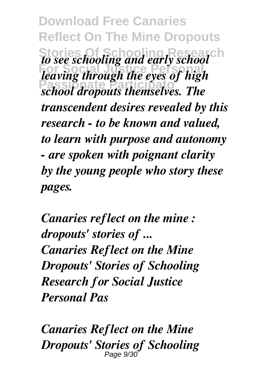**Download Free Canaries Reflect On The Mine Dropouts Stories Of Schooling Research** *to see schooling and early school* **For Social Justice Personal** *leaving through the eyes of high* **Passionate Participato** *school dropouts themselves. The transcendent desires revealed by this research - to be known and valued, to learn with purpose and autonomy - are spoken with poignant clarity by the young people who story these pages.*

*Canaries reflect on the mine : dropouts' stories of ... Canaries Reflect on the Mine Dropouts' Stories of Schooling Research for Social Justice Personal Pas*

*Canaries Reflect on the Mine Dropouts' Stories of Schooling* Page 9/30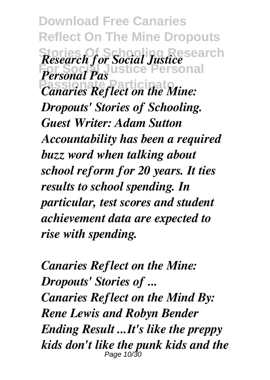**Download Free Canaries Reflect On The Mine Dropouts Stories Of Schooling Research For Social Justice Personal** *Canaries Reflect on the Mine: Research for Social Justice Personal Pas Dropouts' Stories of Schooling. Guest Writer: Adam Sutton Accountability has been a required buzz word when talking about school reform for 20 years. It ties results to school spending. In particular, test scores and student achievement data are expected to rise with spending.*

*Canaries Reflect on the Mine: Dropouts' Stories of ... Canaries Reflect on the Mind By: Rene Lewis and Robyn Bender Ending Result ...It's like the preppy kids don't like the punk kids and the* Page 10/3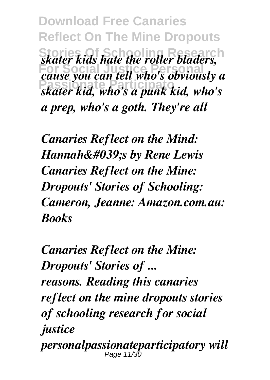**Download Free Canaries Reflect On The Mine Dropouts Stories Of Schooling Research** *skater kids hate the roller bladers, Forms who have new roter brancis,*<br>*cause you can tell who's obviously a* **Passionate Participato** *skater kid, who's a punk kid, who's a prep, who's a goth. They're all*

*Canaries Reflect on the Mind: Hannah' by Rene Lewis Canaries Reflect on the Mine: Dropouts' Stories of Schooling: Cameron, Jeanne: Amazon.com.au: Books*

*Canaries Reflect on the Mine: Dropouts' Stories of ... reasons. Reading this canaries reflect on the mine dropouts stories of schooling research for social justice personalpassionateparticipatory will* Page 11/3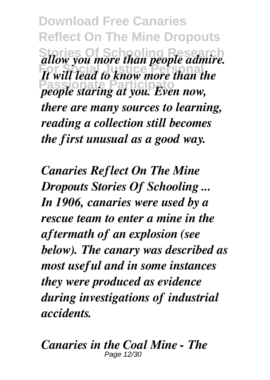**Download Free Canaries Reflect On The Mine Dropouts Stories Of Schooling Research** *allow you more than people admire. It will lead to know more than the* **Passionate Participato** *people staring at you. Even now, there are many sources to learning, reading a collection still becomes the first unusual as a good way.*

*Canaries Reflect On The Mine Dropouts Stories Of Schooling ... In 1906, canaries were used by a rescue team to enter a mine in the aftermath of an explosion (see below). The canary was described as most useful and in some instances they were produced as evidence during investigations of industrial accidents.*

*Canaries in the Coal Mine - The* Page 12/30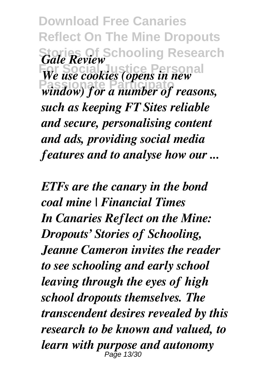**Download Free Canaries Reflect On The Mine Dropouts Stories Of Schooling Research** *Gale Review Forms Hereinkh*<br>*We use cookies (opens in new* **Passionate Participato** *window) for a number of reasons, such as keeping FT Sites reliable and secure, personalising content and ads, providing social media features and to analyse how our ...*

*ETFs are the canary in the bond coal mine | Financial Times In Canaries Reflect on the Mine: Dropouts' Stories of Schooling, Jeanne Cameron invites the reader to see schooling and early school leaving through the eyes of high school dropouts themselves. The transcendent desires revealed by this research to be known and valued, to learn with purpose and autonomy* Page 13/30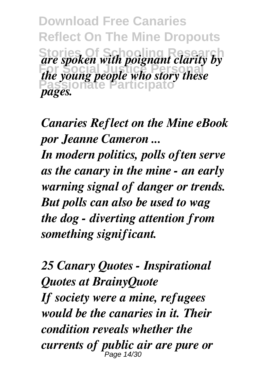**Download Free Canaries Reflect On The Mine Dropouts Stories Of Schooling Research** *are spoken with poignant clarity by* **For Social Justice Personal** *the young people who story these* te Participat *pages.*

*Canaries Reflect on the Mine eBook por Jeanne Cameron ...*

*In modern politics, polls often serve as the canary in the mine - an early warning signal of danger or trends. But polls can also be used to wag the dog - diverting attention from something significant.*

*25 Canary Quotes - Inspirational Quotes at BrainyQuote If society were a mine, refugees would be the canaries in it. Their condition reveals whether the currents of public air are pure or* Page 14/30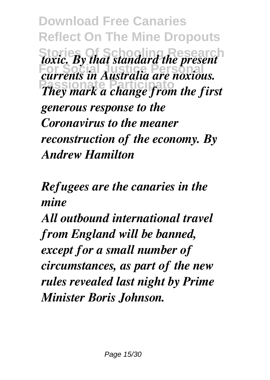**Download Free Canaries Reflect On The Mine Dropouts Stories Of Schooling Research** *toxic. By that standard the present Formal Statistics in the present currents in Australia are noxious.* **Passionate Participato** *They mark a change from the first generous response to the Coronavirus to the meaner reconstruction of the economy. By Andrew Hamilton*

*Refugees are the canaries in the mine*

*All outbound international travel from England will be banned, except for a small number of circumstances, as part of the new rules revealed last night by Prime Minister Boris Johnson.*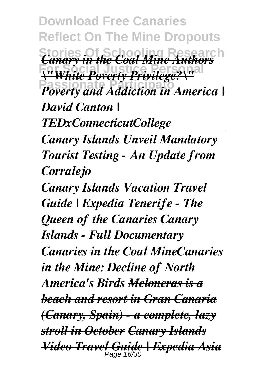**Download Free Canaries Reflect On The Mine Dropouts Stories Of School Mine Authors For Social Justice Personal** *\"White Poverty Privilege?\"* **Passionate Participato** *Poverty and Addiction in America | David Canton | TEDxConnecticutCollege*

*Canary Islands Unveil Mandatory Tourist Testing - An Update from Corralejo*

*Canary Islands Vacation Travel Guide | Expedia Tenerife - The Queen of the Canaries Canary Islands - Full Documentary Canaries in the Coal MineCanaries in the Mine: Decline of North America's Birds Meloneras is a beach and resort in Gran Canaria (Canary, Spain) - a complete, lazy stroll in October Canary Islands Video Travel Guide | Expedia Asia* Page 16/30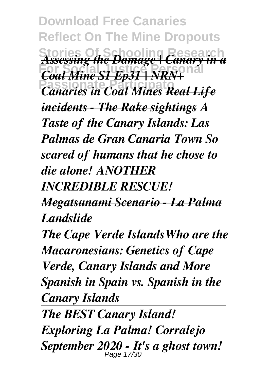**Download Free Canaries Reflect On The Mine Dropouts Stories Of Schooling Research** *Assessing the Damage | Canary in a For Social Mine S1 Ep31 | NRN+* **Passionate Participato** *Canaries in Coal Mines Real Life incidents - The Rake sightings A Taste of the Canary Islands: Las Palmas de Gran Canaria Town So scared of humans that he chose to die alone! ANOTHER INCREDIBLE RESCUE!*

*Megatsunami Scenario - La Palma Landslide*

*The Cape Verde IslandsWho are the Macaronesians: Genetics of Cape Verde, Canary Islands and More Spanish in Spain vs. Spanish in the Canary Islands*

*The BEST Canary Island! Exploring La Palma! Corralejo September 2020 - It's a ghost town!*  Page 17/30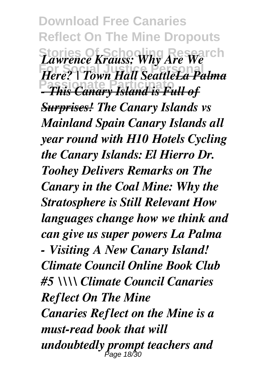**Download Free Canaries Reflect On The Mine Dropouts Stories Of Schooling Research** *Lawrence Krauss: Why Are We Hamblies Halls Willy Have Weather* **Passionate Participato** *- This Canary Island is Full of Surprises! The Canary Islands vs Mainland Spain Canary Islands all year round with H10 Hotels Cycling the Canary Islands: El Hierro Dr. Toohey Delivers Remarks on The Canary in the Coal Mine: Why the Stratosphere is Still Relevant How languages change how we think and can give us super powers La Palma - Visiting A New Canary Island! Climate Council Online Book Club #5 \\\\ Climate Council Canaries Reflect On The Mine Canaries Reflect on the Mine is a must-read book that will undoubtedly prompt teachers and* Page 18/30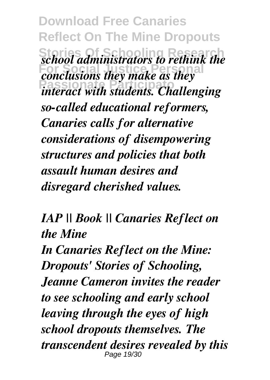**Download Free Canaries Reflect On The Mine Dropouts Stories Of Schooling Research** *school administrators to rethink the Forcess dimension aloness conclusions* **Passionate Participato** *interact with students. Challenging so-called educational reformers, Canaries calls for alternative considerations of disempowering structures and policies that both assault human desires and disregard cherished values.*

*IAP || Book || Canaries Reflect on the Mine*

*In Canaries Reflect on the Mine: Dropouts' Stories of Schooling, Jeanne Cameron invites the reader to see schooling and early school leaving through the eyes of high school dropouts themselves. The transcendent desires revealed by this* Page 19/30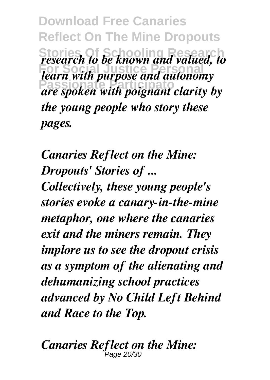**Download Free Canaries Reflect On The Mine Dropouts Stories Of Schooling Research** *research to be known and valued, to Forces on the Social City School, learn with purpose and autonomy* **Passionate Participato** *are spoken with poignant clarity by the young people who story these pages.*

*Canaries Reflect on the Mine: Dropouts' Stories of ... Collectively, these young people's stories evoke a canary-in-the-mine metaphor, one where the canaries exit and the miners remain. They implore us to see the dropout crisis as a symptom of the alienating and dehumanizing school practices advanced by No Child Left Behind and Race to the Top.*

*Canaries Reflect on the Mine:* Page 20/30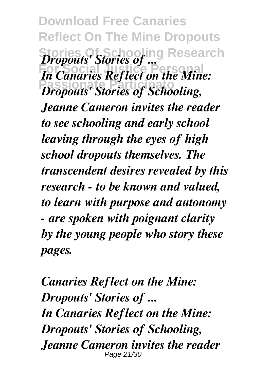**Download Free Canaries Reflect On The Mine Dropouts Stories Of Schooling Research** *Dropouts' Stories of ...* **For Social Justice Personal** *In Canaries Reflect on the Mine:* **Passionate Participato** *Dropouts' Stories of Schooling, Jeanne Cameron invites the reader to see schooling and early school leaving through the eyes of high school dropouts themselves. The transcendent desires revealed by this research - to be known and valued, to learn with purpose and autonomy - are spoken with poignant clarity by the young people who story these pages.*

*Canaries Reflect on the Mine: Dropouts' Stories of ... In Canaries Reflect on the Mine: Dropouts' Stories of Schooling, Jeanne Cameron invites the reader* Page 21/30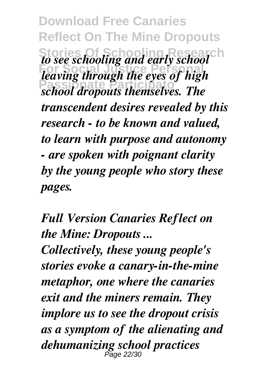**Download Free Canaries Reflect On The Mine Dropouts Stories Of Schooling Research** *to see schooling and early school* **For Social Justice Personal** *leaving through the eyes of high* **Passionate Participato** *school dropouts themselves. The transcendent desires revealed by this research - to be known and valued, to learn with purpose and autonomy - are spoken with poignant clarity by the young people who story these pages.*

*Full Version Canaries Reflect on the Mine: Dropouts ...*

*Collectively, these young people's stories evoke a canary-in-the-mine metaphor, one where the canaries exit and the miners remain. They implore us to see the dropout crisis as a symptom of the alienating and dehumanizing school practices* Page 22/30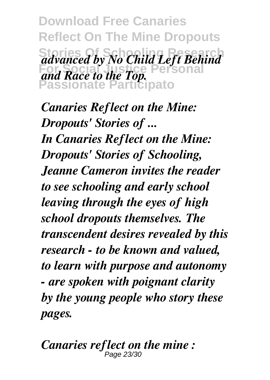**Download Free Canaries Reflect On The Mine Dropouts Stories Of Schooling Research** *advanced by No Child Left Behind* **For Social Justice Personal** *and Race to the Top.* **Passionate Participato**

*Canaries Reflect on the Mine: Dropouts' Stories of ... In Canaries Reflect on the Mine: Dropouts' Stories of Schooling, Jeanne Cameron invites the reader to see schooling and early school leaving through the eyes of high school dropouts themselves. The transcendent desires revealed by this research - to be known and valued, to learn with purpose and autonomy - are spoken with poignant clarity by the young people who story these pages.*

*Canaries reflect on the mine :* Page 23/3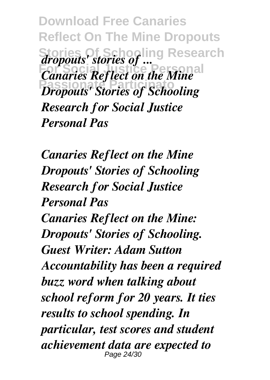**Download Free Canaries Reflect On The Mine Dropouts Stories Of Schooling Research** *dropouts' stories of ... EXPONSE SOCIETY* **Canaries Reflect on the Mine** *Propouts' Stories of Schooling Research for Social Justice Personal Pas*

*Canaries Reflect on the Mine Dropouts' Stories of Schooling Research for Social Justice Personal Pas Canaries Reflect on the Mine: Dropouts' Stories of Schooling. Guest Writer: Adam Sutton Accountability has been a required buzz word when talking about school reform for 20 years. It ties results to school spending. In particular, test scores and student achievement data are expected to* Page 24/30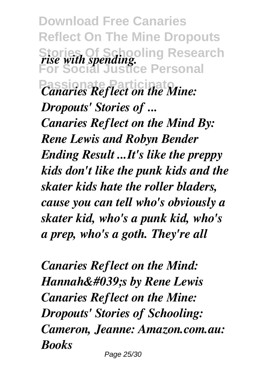**Download Free Canaries Reflect On The Mine Dropouts Stories Of Schooling Research For Social Justice Personal** *Canaries Reflect on the Mine: rise with spending. Dropouts' Stories of ... Canaries Reflect on the Mind By: Rene Lewis and Robyn Bender Ending Result ...It's like the preppy kids don't like the punk kids and the skater kids hate the roller bladers, cause you can tell who's obviously a skater kid, who's a punk kid, who's a prep, who's a goth. They're all*

*Canaries Reflect on the Mind: Hannah' by Rene Lewis Canaries Reflect on the Mine: Dropouts' Stories of Schooling: Cameron, Jeanne: Amazon.com.au: Books* Page 25/30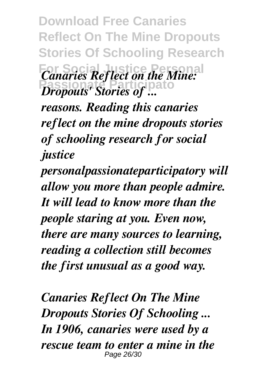**Download Free Canaries Reflect On The Mine Dropouts Stories Of Schooling Research**

*Canaries Reflect on the Mine: Dropouts' Stories of ...* 

*reasons. Reading this canaries reflect on the mine dropouts stories of schooling research for social justice*

*personalpassionateparticipatory will allow you more than people admire. It will lead to know more than the people staring at you. Even now, there are many sources to learning, reading a collection still becomes the first unusual as a good way.*

*Canaries Reflect On The Mine Dropouts Stories Of Schooling ... In 1906, canaries were used by a rescue team to enter a mine in the* Page 26/30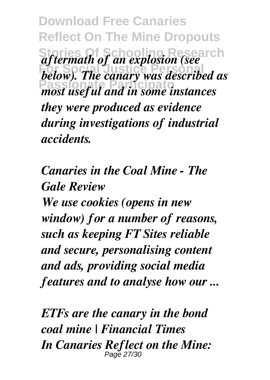**Download Free Canaries Reflect On The Mine Dropouts Stories Of Schooling Research** *aftermath of an explosion (see* **For Social Justice Personal** *below). The canary was described as* **Passionate Participato** *most useful and in some instances they were produced as evidence during investigations of industrial accidents.*

*Canaries in the Coal Mine - The Gale Review We use cookies (opens in new window) for a number of reasons, such as keeping FT Sites reliable and secure, personalising content and ads, providing social media features and to analyse how our ...*

*ETFs are the canary in the bond coal mine | Financial Times In Canaries Reflect on the Mine:* Page 27/30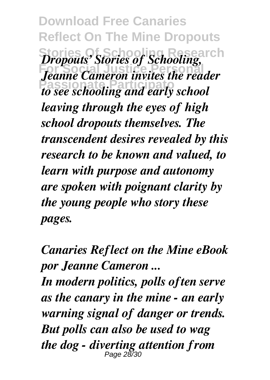**Download Free Canaries Reflect On The Mine Dropouts Stories Of Schooling Research** *Dropouts' Stories of Schooling,* **For Social Justice Personal** *Jeanne Cameron invites the reader* **Passionate Participato** *to see schooling and early school leaving through the eyes of high school dropouts themselves. The transcendent desires revealed by this research to be known and valued, to learn with purpose and autonomy are spoken with poignant clarity by the young people who story these pages.*

*Canaries Reflect on the Mine eBook por Jeanne Cameron ...*

*In modern politics, polls often serve as the canary in the mine - an early warning signal of danger or trends. But polls can also be used to wag the dog - diverting attention from* Page 28/30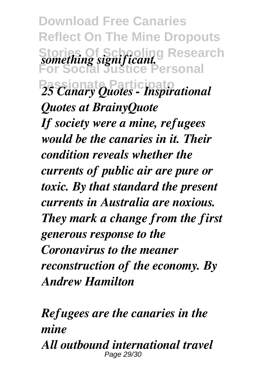**Download Free Canaries Reflect On The Mine Dropouts Stories Of Schooling Research For Social Justice Personal Passionate Participato** *25 Canary Quotes - Inspirational something significant. Quotes at BrainyQuote If society were a mine, refugees would be the canaries in it. Their condition reveals whether the currents of public air are pure or toxic. By that standard the present currents in Australia are noxious. They mark a change from the first generous response to the Coronavirus to the meaner reconstruction of the economy. By Andrew Hamilton*

*Refugees are the canaries in the mine All outbound international travel* Page 29/30